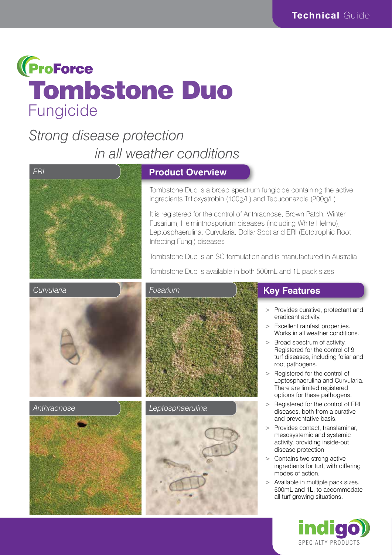

# *Strong disease protection in all weather conditions*



#### **Product Overview**

Tombstone Duo is a broad spectrum fungicide containing the active ingredients Trifloxystrobin (100g/L) and Tebuconazole (200g/L)

It is registered for the control of Anthracnose, Brown Patch, Winter Fusarium, Helminthosporium diseases (including White Helmo), Leptosphaerulina, Curvularia, Dollar Spot and ERI (Ectotrophic Root Infecting Fungi) diseases

Tombstone Duo is an SC formulation and is manufactured in Australia

Tombstone Duo is available in both 500mL and 1L pack sizes



*Anthracnose* 





### **Key Features**

- > Provides curative, protectant and eradicant activity.
- > Excellent rainfast properties. Works in all weather conditions.
- > Broad spectrum of activity. Registered for the control of 9 turf diseases, including foliar and root pathogens.
- > Registered for the control of Leptosphaerulina and Curvularia. There are limited registered options for these pathogens.
- > Registered for the control of ERI diseases, both from a curative and preventative basis.
- > Provides contact, translaminar, mesosystemic and systemic activity, providing inside-out disease protection.
- > Contains two strong active ingredients for turf, with differing modes of action.
- > Available in multiple pack sizes. 500mL and 1L, to accommodate all turf growing situations.